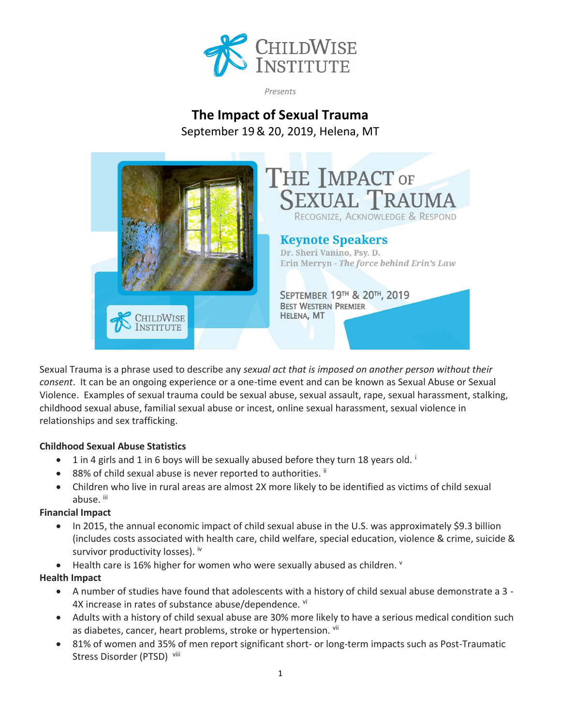

*Presents*

# **The Impact of Sexual Trauma**

September 19& 20, 2019, Helena, MT



Sexual Trauma is a phrase used to describe any *sexual act that is imposed on another person without their consent*. It can be an ongoing experience or a one-time event and can be known as Sexual Abuse or Sexual Violence. Examples of sexual trauma could be sexual abuse, sexual assault, rape, sexual harassment, stalking, childhood sexual abuse, familial sexual abuse or incest, online sexual harassment, sexual violence in relationships and sex trafficking.

## **Childhood Sexual Abuse Statistics**

- $\bullet$  1 in 4 girls and 1 in 6 boys will be sexually abused before they turn 18 years old.
- 88% of child sexual abuse is never reported to authorities. ii
- Children who live in rural areas are almost 2X more likely to be identified as victims of child sexual abuse. iii

# **Financial Impact**

- In 2015, the annual economic impact of child sexual abuse in the U.S. was approximately \$9.3 billion (includes costs associated with health care, child welfare, special education, violence & crime, suicide & survivor productivity losses). iv
- Health care is 16% higher for women who were sexually abused as children.  $\vee$

# **Health Impact**

- A number of studies have found that adolescents with a history of child sexual abuse demonstrate a 3 4X increase in rates of substance abuse/dependence. vi
- Adults with a history of child sexual abuse are 30% more likely to have a serious medical condition such as diabetes, cancer, heart problems, stroke or hypertension. Vii
- 81% of women and 35% of men report significant short- or long-term impacts such as Post-Traumatic Stress Disorder (PTSD) viii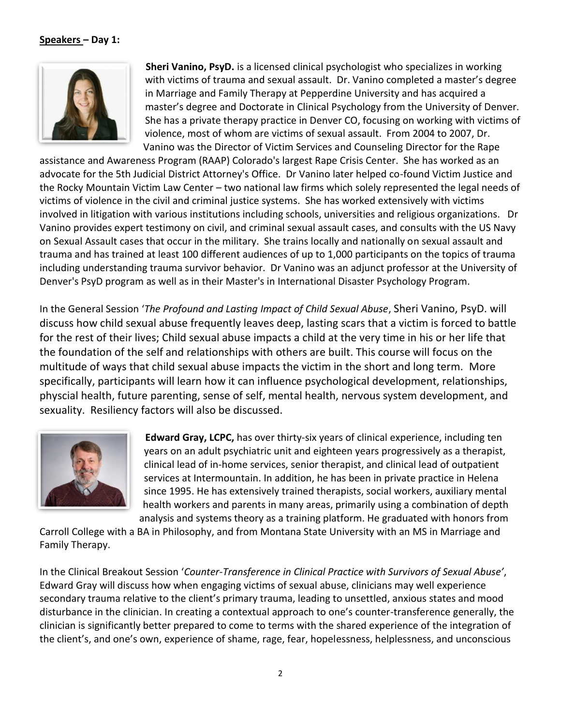## **Speakers – Day 1:**



**Sheri Vanino, PsyD.** is a licensed clinical psychologist who specializes in working with victims of trauma and sexual assault. Dr. Vanino completed a master's degree in Marriage and Family Therapy at Pepperdine University and has acquired a master's degree and Doctorate in Clinical Psychology from the University of Denver. She has a private therapy practice in Denver CO, focusing on working with victims of violence, most of whom are victims of sexual assault. From 2004 to 2007, Dr. Vanino was the Director of Victim Services and Counseling Director for the Rape

assistance and Awareness Program (RAAP) Colorado's largest Rape Crisis Center. She has worked as an advocate for the 5th Judicial District Attorney's Office. Dr Vanino later helped co-found Victim Justice and the Rocky Mountain Victim Law Center – two national law firms which solely represented the legal needs of victims of violence in the civil and criminal justice systems. She has worked extensively with victims involved in litigation with various institutions including schools, universities and religious organizations. Dr Vanino provides expert testimony on civil, and criminal sexual assault cases, and consults with the US Navy on Sexual Assault cases that occur in the military. She trains locally and nationally on sexual assault and trauma and has trained at least 100 different audiences of up to 1,000 participants on the topics of trauma including understanding trauma survivor behavior. Dr Vanino was an adjunct professor at the University of Denver's PsyD program as well as in their Master's in International Disaster Psychology Program.

In the General Session '*The Profound and Lasting Impact of Child Sexual Abuse*, Sheri Vanino, PsyD. will discuss how child sexual abuse frequently leaves deep, lasting scars that a victim is forced to battle for the rest of their lives; Child sexual abuse impacts a child at the very time in his or her life that the foundation of the self and relationships with others are built. This course will focus on the multitude of ways that child sexual abuse impacts the victim in the short and long term. More specifically, participants will learn how it can influence psychological development, relationships, physcial health, future parenting, sense of self, mental health, nervous system development, and sexuality. Resiliency factors will also be discussed.



**Edward Gray, LCPC,** has over thirty-six years of clinical experience, including ten years on an adult psychiatric unit and eighteen years progressively as a therapist, clinical lead of in-home services, senior therapist, and clinical lead of outpatient services at Intermountain. In addition, he has been in private practice in Helena since 1995. He has extensively trained therapists, social workers, auxiliary mental health workers and parents in many areas, primarily using a combination of depth analysis and systems theory as a training platform. He graduated with honors from

Carroll College with a BA in Philosophy, and from Montana State University with an MS in Marriage and Family Therapy.

In the Clinical Breakout Session '*Counter-Transference in Clinical Practice with Survivors of Sexual Abuse'*, Edward Gray will discuss how when engaging victims of sexual abuse, clinicians may well experience secondary trauma relative to the client's primary trauma, leading to unsettled, anxious states and mood disturbance in the clinician. In creating a contextual approach to one's counter-transference generally, the clinician is significantly better prepared to come to terms with the shared experience of the integration of the client's, and one's own, experience of shame, rage, fear, hopelessness, helplessness, and unconscious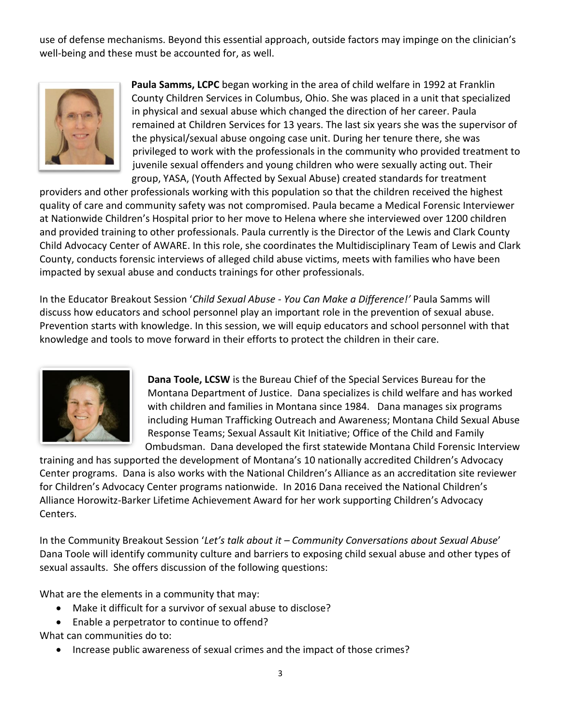use of defense mechanisms. Beyond this essential approach, outside factors may impinge on the clinician's well-being and these must be accounted for, as well.



**Paula Samms, LCPC** began working in the area of child welfare in 1992 at Franklin County Children Services in Columbus, Ohio. She was placed in a unit that specialized in physical and sexual abuse which changed the direction of her career. Paula remained at Children Services for 13 years. The last six years she was the supervisor of the physical/sexual abuse ongoing case unit. During her tenure there, she was privileged to work with the professionals in the community who provided treatment to juvenile sexual offenders and young children who were sexually acting out. Their group, YASA, (Youth Affected by Sexual Abuse) created standards for treatment

providers and other professionals working with this population so that the children received the highest quality of care and community safety was not compromised. Paula became a Medical Forensic Interviewer at Nationwide Children's Hospital prior to her move to Helena where she interviewed over 1200 children and provided training to other professionals. Paula currently is the Director of the Lewis and Clark County Child Advocacy Center of AWARE. In this role, she coordinates the Multidisciplinary Team of Lewis and Clark County, conducts forensic interviews of alleged child abuse victims, meets with families who have been impacted by sexual abuse and conducts trainings for other professionals.

In the Educator Breakout Session '*Child Sexual Abuse - You Can Make a Difference!'* Paula Samms will discuss how educators and school personnel play an important role in the prevention of sexual abuse. Prevention starts with knowledge. In this session, we will equip educators and school personnel with that knowledge and tools to move forward in their efforts to protect the children in their care.



**Dana Toole, LCSW** is the Bureau Chief of the Special Services Bureau for the Montana Department of Justice. Dana specializes is child welfare and has worked with children and families in Montana since 1984. Dana manages six programs including Human Trafficking Outreach and Awareness; Montana Child Sexual Abuse Response Teams; Sexual Assault Kit Initiative; Office of the Child and Family Ombudsman. Dana developed the first statewide Montana Child Forensic Interview

training and has supported the development of Montana's 10 nationally accredited Children's Advocacy Center programs. Dana is also works with the National Children's Alliance as an accreditation site reviewer for Children's Advocacy Center programs nationwide. In 2016 Dana received the National Children's Alliance Horowitz-Barker Lifetime Achievement Award for her work supporting Children's Advocacy Centers.

In the Community Breakout Session '*Let's talk about it – Community Conversations about Sexual Abuse*' Dana Toole will identify community culture and barriers to exposing child sexual abuse and other types of sexual assaults. She offers discussion of the following questions:

What are the elements in a community that may:

- Make it difficult for a survivor of sexual abuse to disclose?
- Enable a perpetrator to continue to offend?

What can communities do to:

• Increase public awareness of sexual crimes and the impact of those crimes?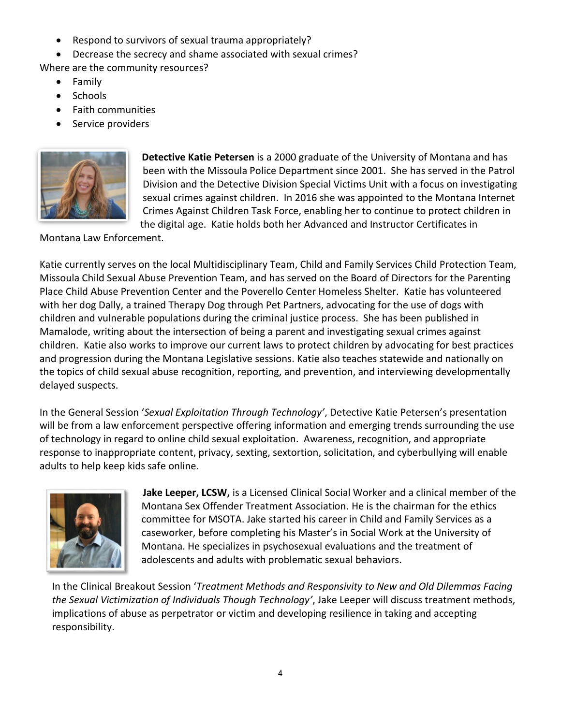- Respond to survivors of sexual trauma appropriately?
- Decrease the secrecy and shame associated with sexual crimes?

Where are the community resources?

- Family
- Schools
- Faith communities
- Service providers



**Detective Katie Petersen** is a 2000 graduate of the University of Montana and has been with the Missoula Police Department since 2001. She has served in the Patrol Division and the Detective Division Special Victims Unit with a focus on investigating sexual crimes against children. In 2016 she was appointed to the Montana Internet Crimes Against Children Task Force, enabling her to continue to protect children in the digital age. Katie holds both her Advanced and Instructor Certificates in

Montana Law Enforcement.

Katie currently serves on the local Multidisciplinary Team, Child and Family Services Child Protection Team, Missoula Child Sexual Abuse Prevention Team, and has served on the Board of Directors for the Parenting Place Child Abuse Prevention Center and the Poverello Center Homeless Shelter. Katie has volunteered with her dog Dally, a trained Therapy Dog through Pet Partners, advocating for the use of dogs with children and vulnerable populations during the criminal justice process. She has been published in Mamalode, writing about the intersection of being a parent and investigating sexual crimes against children. Katie also works to improve our current laws to protect children by advocating for best practices and progression during the Montana Legislative sessions. Katie also teaches statewide and nationally on the topics of child sexual abuse recognition, reporting, and prevention, and interviewing developmentally delayed suspects.

In the General Session '*Sexual Exploitation Through Technology'*, Detective Katie Petersen's presentation will be from a law enforcement perspective offering information and emerging trends surrounding the use of technology in regard to online child sexual exploitation. Awareness, recognition, and appropriate response to inappropriate content, privacy, sexting, sextortion, solicitation, and cyberbullying will enable adults to help keep kids safe online.



**Jake Leeper, LCSW,** is a Licensed Clinical Social Worker and a clinical member of the Montana Sex Offender Treatment Association. He is the chairman for the ethics committee for MSOTA. Jake started his career in Child and Family Services as a caseworker, before completing his Master's in Social Work at the University of Montana. He specializes in psychosexual evaluations and the treatment of adolescents and adults with problematic sexual behaviors.

In the Clinical Breakout Session '*Treatment Methods and Responsivity to New and Old Dilemmas Facing the Sexual Victimization of Individuals Though Technology'*, Jake Leeper will discuss treatment methods, implications of abuse as perpetrator or victim and developing resilience in taking and accepting responsibility.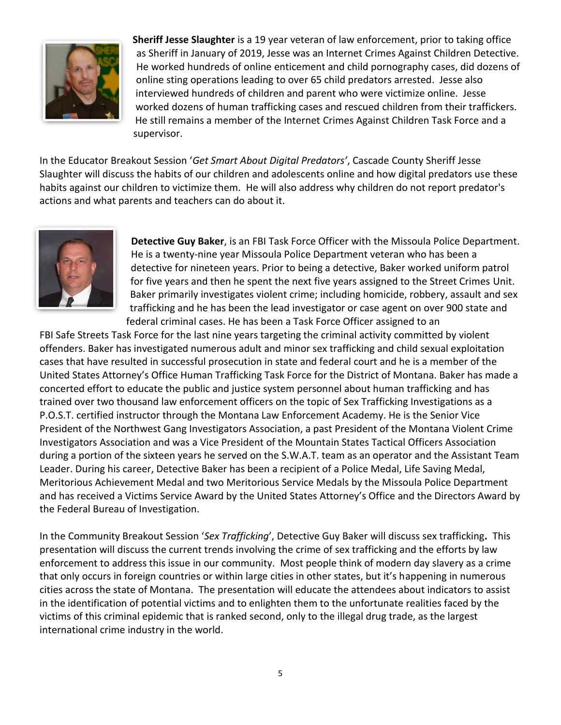

**Sheriff Jesse Slaughter** is a 19 year veteran of law enforcement, prior to taking office as Sheriff in January of 2019, Jesse was an Internet Crimes Against Children Detective. He worked hundreds of online enticement and child pornography cases, did dozens of online sting operations leading to over 65 child predators arrested. Jesse also interviewed hundreds of children and parent who were victimize online. Jesse worked dozens of human trafficking cases and rescued children from their traffickers. He still remains a member of the Internet Crimes Against Children Task Force and a supervisor.

In the Educator Breakout Session '*Get Smart About Digital Predators'*, Cascade County Sheriff Jesse Slaughter will discuss the habits of our children and adolescents online and how digital predators use these habits against our children to victimize them. He will also address why children do not report predator's actions and what parents and teachers can do about it.



**Detective Guy Baker**, is an FBI Task Force Officer with the Missoula Police Department. He is a twenty-nine year Missoula Police Department veteran who has been a detective for nineteen years. Prior to being a detective, Baker worked uniform patrol for five years and then he spent the next five years assigned to the Street Crimes Unit. Baker primarily investigates violent crime; including homicide, robbery, assault and sex trafficking and he has been the lead investigator or case agent on over 900 state and federal criminal cases. He has been a Task Force Officer assigned to an

FBI Safe Streets Task Force for the last nine years targeting the criminal activity committed by violent offenders. Baker has investigated numerous adult and minor sex trafficking and child sexual exploitation cases that have resulted in successful prosecution in state and federal court and he is a member of the United States Attorney's Office Human Trafficking Task Force for the District of Montana. Baker has made a concerted effort to educate the public and justice system personnel about human trafficking and has trained over two thousand law enforcement officers on the topic of Sex Trafficking Investigations as a P.O.S.T. certified instructor through the Montana Law Enforcement Academy. He is the Senior Vice President of the Northwest Gang Investigators Association, a past President of the Montana Violent Crime Investigators Association and was a Vice President of the Mountain States Tactical Officers Association during a portion of the sixteen years he served on the S.W.A.T. team as an operator and the Assistant Team Leader. During his career, Detective Baker has been a recipient of a Police Medal, Life Saving Medal, Meritorious Achievement Medal and two Meritorious Service Medals by the Missoula Police Department and has received a Victims Service Award by the United States Attorney's Office and the Directors Award by the Federal Bureau of Investigation.

In the Community Breakout Session '*Sex Trafficking*', Detective Guy Baker will discuss sex trafficking**.** This presentation will discuss the current trends involving the crime of sex trafficking and the efforts by law enforcement to address this issue in our community. Most people think of modern day slavery as a crime that only occurs in foreign countries or within large cities in other states, but it's happening in numerous cities across the state of Montana. The presentation will educate the attendees about indicators to assist in the identification of potential victims and to enlighten them to the unfortunate realities faced by the victims of this criminal epidemic that is ranked second, only to the illegal drug trade, as the largest international crime industry in the world.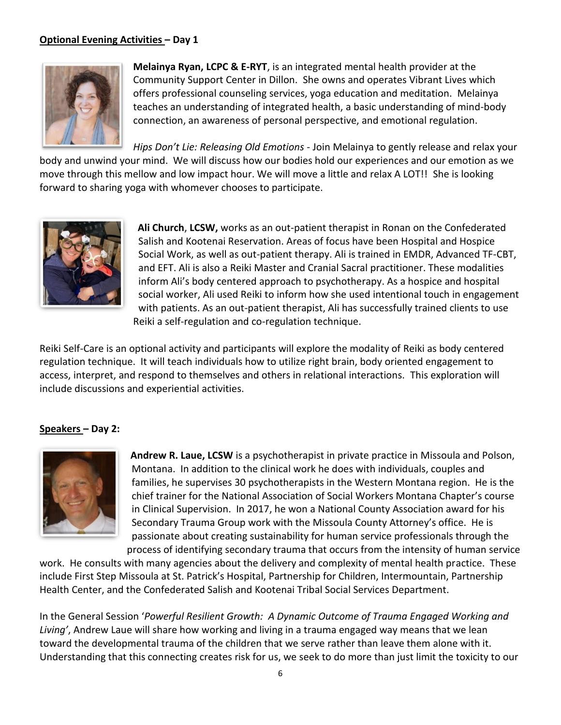# **Optional Evening Activities – Day 1**



**Melainya Ryan, LCPC & E-RYT**, is an integrated mental health provider at the Community Support Center in Dillon. She owns and operates Vibrant Lives which offers professional counseling services, yoga education and meditation. Melainya teaches an understanding of integrated health, a basic understanding of mind-body connection, an awareness of personal perspective, and emotional regulation.

*Hips Don't Lie: Releasing Old Emotions* - Join Melainya to gently release and relax your body and unwind your mind. We will discuss how our bodies hold our experiences and our emotion as we move through this mellow and low impact hour. We will move a little and relax A LOT!! She is looking forward to sharing yoga with whomever chooses to participate.



**Ali Church**, **LCSW,** works as an out-patient therapist in Ronan on the Confederated Salish and Kootenai Reservation. Areas of focus have been Hospital and Hospice Social Work, as well as out-patient therapy. Ali is trained in EMDR, Advanced TF-CBT, and EFT. Ali is also a Reiki Master and Cranial Sacral practitioner. These modalities inform Ali's body centered approach to psychotherapy. As a hospice and hospital social worker, Ali used Reiki to inform how she used intentional touch in engagement with patients. As an out-patient therapist, Ali has successfully trained clients to use Reiki a self-regulation and co-regulation technique.

Reiki Self-Care is an optional activity and participants will explore the modality of Reiki as body centered regulation technique. It will teach individuals how to utilize right brain, body oriented engagement to access, interpret, and respond to themselves and others in relational interactions. This exploration will include discussions and experiential activities.

## **Speakers – Day 2:**



**Andrew R. Laue, LCSW** is a psychotherapist in private practice in Missoula and Polson, Montana. In addition to the clinical work he does with individuals, couples and families, he supervises 30 psychotherapists in the Western Montana region. He is the chief trainer for the National Association of Social Workers Montana Chapter's course in Clinical Supervision. In 2017, he won a National County Association award for his Secondary Trauma Group work with the Missoula County Attorney's office. He is passionate about creating sustainability for human service professionals through the process of identifying secondary trauma that occurs from the intensity of human service

work. He consults with many agencies about the delivery and complexity of mental health practice. These include First Step Missoula at St. Patrick's Hospital, Partnership for Children, Intermountain, Partnership Health Center, and the Confederated Salish and Kootenai Tribal Social Services Department.

In the General Session '*Powerful Resilient Growth: A Dynamic Outcome of Trauma Engaged Working and Living'*, Andrew Laue will share how working and living in a trauma engaged way means that we lean toward the developmental trauma of the children that we serve rather than leave them alone with it. Understanding that this connecting creates risk for us, we seek to do more than just limit the toxicity to our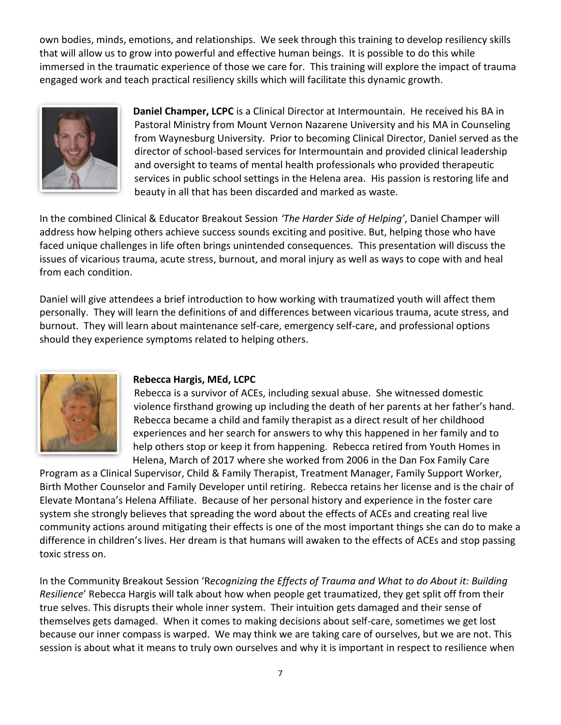own bodies, minds, emotions, and relationships. We seek through this training to develop resiliency skills that will allow us to grow into powerful and effective human beings. It is possible to do this while immersed in the traumatic experience of those we care for. This training will explore the impact of trauma engaged work and teach practical resiliency skills which will facilitate this dynamic growth.



**Daniel Champer, LCPC** is a Clinical Director at Intermountain. He received his BA in Pastoral Ministry from Mount Vernon Nazarene University and his MA in Counseling from Waynesburg University. Prior to becoming Clinical Director, Daniel served as the director of school-based services for Intermountain and provided clinical leadership and oversight to teams of mental health professionals who provided therapeutic services in public school settings in the Helena area. His passion is restoring life and beauty in all that has been discarded and marked as waste.

In the combined Clinical & Educator Breakout Session *'The Harder Side of Helping'*, Daniel Champer will address how helping others achieve success sounds exciting and positive. But, helping those who have faced unique challenges in life often brings unintended consequences. This presentation will discuss the issues of vicarious trauma, acute stress, burnout, and moral injury as well as ways to cope with and heal from each condition.

Daniel will give attendees a brief introduction to how working with traumatized youth will affect them personally. They will learn the definitions of and differences between vicarious trauma, acute stress, and burnout. They will learn about maintenance self-care, emergency self-care, and professional options should they experience symptoms related to helping others.



## **Rebecca Hargis, MEd, LCPC**

Rebecca is a survivor of ACEs, including sexual abuse. She witnessed domestic violence firsthand growing up including the death of her parents at her father's hand. Rebecca became a child and family therapist as a direct result of her childhood experiences and her search for answers to why this happened in her family and to help others stop or keep it from happening. Rebecca retired from Youth Homes in Helena, March of 2017 where she worked from 2006 in the Dan Fox Family Care

Program as a Clinical Supervisor, Child & Family Therapist, Treatment Manager, Family Support Worker, Birth Mother Counselor and Family Developer until retiring. Rebecca retains her license and is the chair of Elevate Montana's Helena Affiliate. Because of her personal history and experience in the foster care system she strongly believes that spreading the word about the effects of ACEs and creating real live community actions around mitigating their effects is one of the most important things she can do to make a difference in children's lives. Her dream is that humans will awaken to the effects of ACEs and stop passing toxic stress on.

In the Community Breakout Session 'R*ecognizing the Effects of Trauma and What to do About it: Building Resilience*' Rebecca Hargis will talk about how when people get traumatized, they get split off from their true selves. This disrupts their whole inner system. Their intuition gets damaged and their sense of themselves gets damaged. When it comes to making decisions about self-care, sometimes we get lost because our inner compass is warped. We may think we are taking care of ourselves, but we are not. This session is about what it means to truly own ourselves and why it is important in respect to resilience when